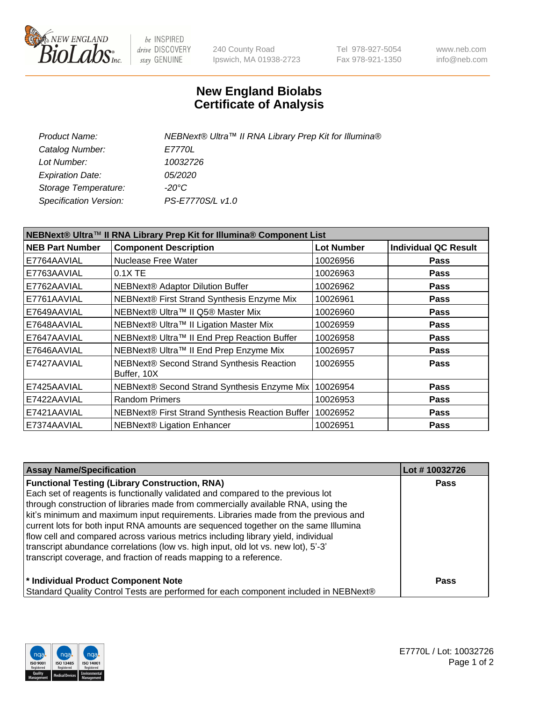

be INSPIRED drive DISCOVERY stay GENUINE

240 County Road Ipswich, MA 01938-2723 Tel 978-927-5054 Fax 978-921-1350 www.neb.com info@neb.com

## **New England Biolabs Certificate of Analysis**

| Product Name:           | NEBNext® Ultra™ II RNA Library Prep Kit for Illumina® |
|-------------------------|-------------------------------------------------------|
| Catalog Number:         | <i>E7770L</i>                                         |
| Lot Number:             | 10032726                                              |
| <b>Expiration Date:</b> | <i>05/2020</i>                                        |
| Storage Temperature:    | -20°C                                                 |
| Specification Version:  | PS-E7770S/L v1.0                                      |
|                         |                                                       |

| NEBNext® Ultra™ II RNA Library Prep Kit for Illumina® Component List |                                                          |                   |                             |  |  |
|----------------------------------------------------------------------|----------------------------------------------------------|-------------------|-----------------------------|--|--|
| <b>NEB Part Number</b>                                               | <b>Component Description</b>                             | <b>Lot Number</b> | <b>Individual QC Result</b> |  |  |
| E7764AAVIAL                                                          | Nuclease Free Water                                      | 10026956          | <b>Pass</b>                 |  |  |
| E7763AAVIAL                                                          | $0.1X$ TE                                                | 10026963          | <b>Pass</b>                 |  |  |
| E7762AAVIAL                                                          | <b>NEBNext® Adaptor Dilution Buffer</b>                  | 10026962          | <b>Pass</b>                 |  |  |
| E7761AAVIAL                                                          | NEBNext® First Strand Synthesis Enzyme Mix               | 10026961          | Pass                        |  |  |
| E7649AAVIAL                                                          | NEBNext® Ultra™ II Q5® Master Mix                        | 10026960          | <b>Pass</b>                 |  |  |
| E7648AAVIAL                                                          | NEBNext® Ultra™ II Ligation Master Mix                   | 10026959          | <b>Pass</b>                 |  |  |
| E7647AAVIAL                                                          | NEBNext® Ultra™ II End Prep Reaction Buffer              | 10026958          | <b>Pass</b>                 |  |  |
| E7646AAVIAL                                                          | NEBNext® Ultra™ II End Prep Enzyme Mix                   | 10026957          | <b>Pass</b>                 |  |  |
| E7427AAVIAL                                                          | NEBNext® Second Strand Synthesis Reaction<br>Buffer, 10X | 10026955          | <b>Pass</b>                 |  |  |
| E7425AAVIAL                                                          | NEBNext® Second Strand Synthesis Enzyme Mix              | 10026954          | <b>Pass</b>                 |  |  |
| E7422AAVIAL                                                          | <b>Random Primers</b>                                    | 10026953          | <b>Pass</b>                 |  |  |
| E7421AAVIAL                                                          | NEBNext® First Strand Synthesis Reaction Buffer          | 10026952          | <b>Pass</b>                 |  |  |
| E7374AAVIAL                                                          | NEBNext® Ligation Enhancer                               | 10026951          | <b>Pass</b>                 |  |  |

| <b>Assay Name/Specification</b>                                                      | Lot #10032726 |
|--------------------------------------------------------------------------------------|---------------|
| <b>Functional Testing (Library Construction, RNA)</b>                                | <b>Pass</b>   |
| Each set of reagents is functionally validated and compared to the previous lot      |               |
| through construction of libraries made from commercially available RNA, using the    |               |
| kit's minimum and maximum input requirements. Libraries made from the previous and   |               |
| current lots for both input RNA amounts are sequenced together on the same Illumina  |               |
| flow cell and compared across various metrics including library yield, individual    |               |
| transcript abundance correlations (low vs. high input, old lot vs. new lot), 5'-3'   |               |
| transcript coverage, and fraction of reads mapping to a reference.                   |               |
| * Individual Product Component Note                                                  | <b>Pass</b>   |
| Standard Quality Control Tests are performed for each component included in NEBNext® |               |